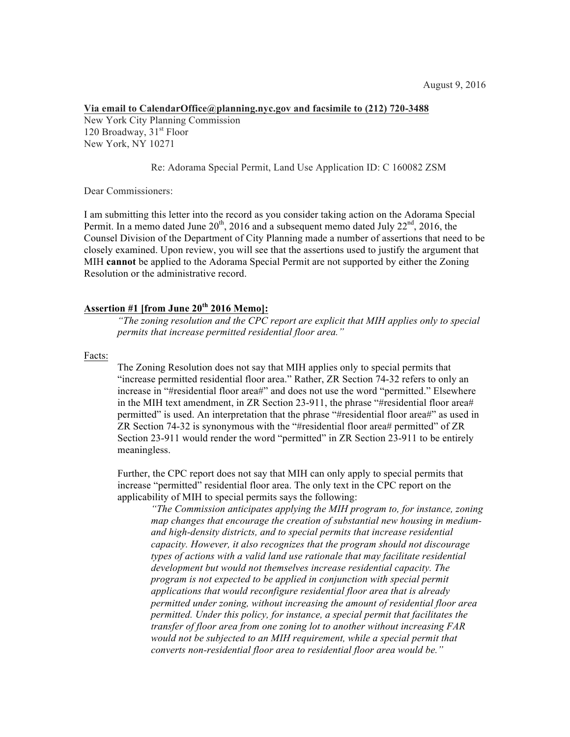## **Via email to CalendarOffice@planning.nyc.gov and facsimile to (212) 720-3488** New York City Planning Commission 120 Broadway,  $31<sup>st</sup>$  Floor New York, NY 10271

## Re: Adorama Special Permit, Land Use Application ID: C 160082 ZSM

Dear Commissioners:

I am submitting this letter into the record as you consider taking action on the Adorama Special Permit. In a memo dated June  $20^{th}$ , 2016 and a subsequent memo dated July  $22^{nd}$ , 2016, the Counsel Division of the Department of City Planning made a number of assertions that need to be closely examined. Upon review, you will see that the assertions used to justify the argument that MIH **cannot** be applied to the Adorama Special Permit are not supported by either the Zoning Resolution or the administrative record.

# **Assertion #1 [from June 20th 2016 Memo]:**

*"The zoning resolution and the CPC report are explicit that MIH applies only to special permits that increase permitted residential floor area."*

Facts:

The Zoning Resolution does not say that MIH applies only to special permits that "increase permitted residential floor area." Rather, ZR Section 74-32 refers to only an increase in "#residential floor area#" and does not use the word "permitted." Elsewhere in the MIH text amendment, in ZR Section 23-911, the phrase "#residential floor area# permitted" is used. An interpretation that the phrase "#residential floor area#" as used in ZR Section 74-32 is synonymous with the "#residential floor area# permitted" of ZR Section 23-911 would render the word "permitted" in ZR Section 23-911 to be entirely meaningless.

Further, the CPC report does not say that MIH can only apply to special permits that increase "permitted" residential floor area. The only text in the CPC report on the applicability of MIH to special permits says the following:

*"The Commission anticipates applying the MIH program to, for instance, zoning map changes that encourage the creation of substantial new housing in mediumand high-density districts, and to special permits that increase residential capacity. However, it also recognizes that the program should not discourage types of actions with a valid land use rationale that may facilitate residential development but would not themselves increase residential capacity. The program is not expected to be applied in conjunction with special permit applications that would reconfigure residential floor area that is already permitted under zoning, without increasing the amount of residential floor area permitted. Under this policy, for instance, a special permit that facilitates the transfer of floor area from one zoning lot to another without increasing FAR would not be subjected to an MIH requirement, while a special permit that converts non-residential floor area to residential floor area would be."*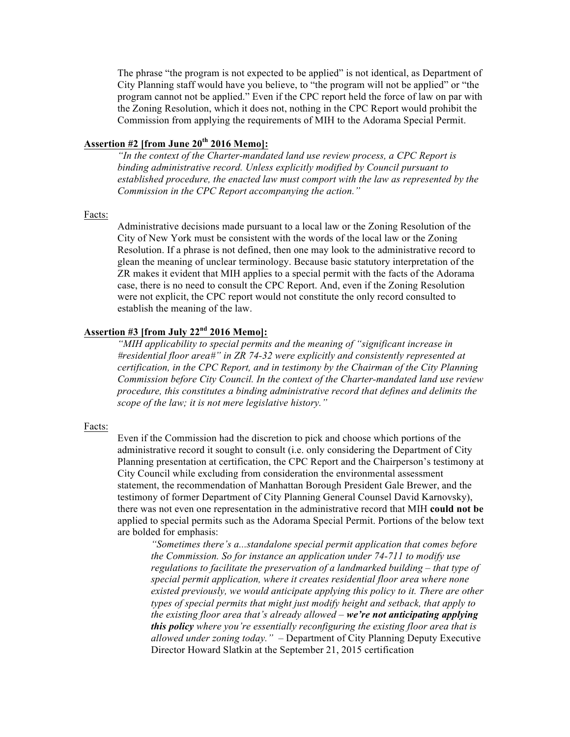The phrase "the program is not expected to be applied" is not identical, as Department of City Planning staff would have you believe, to "the program will not be applied" or "the program cannot not be applied." Even if the CPC report held the force of law on par with the Zoning Resolution, which it does not, nothing in the CPC Report would prohibit the Commission from applying the requirements of MIH to the Adorama Special Permit.

## **Assertion #2 [from June 20th 2016 Memo]:**

*"In the context of the Charter-mandated land use review process, a CPC Report is binding administrative record. Unless explicitly modified by Council pursuant to established procedure, the enacted law must comport with the law as represented by the Commission in the CPC Report accompanying the action."*

### Facts:

Administrative decisions made pursuant to a local law or the Zoning Resolution of the City of New York must be consistent with the words of the local law or the Zoning Resolution. If a phrase is not defined, then one may look to the administrative record to glean the meaning of unclear terminology. Because basic statutory interpretation of the ZR makes it evident that MIH applies to a special permit with the facts of the Adorama case, there is no need to consult the CPC Report. And, even if the Zoning Resolution were not explicit, the CPC report would not constitute the only record consulted to establish the meaning of the law.

## **Assertion #3 [from July 22nd 2016 Memo]:**

*"MIH applicability to special permits and the meaning of "significant increase in #residential floor area#" in ZR 74-32 were explicitly and consistently represented at certification, in the CPC Report, and in testimony by the Chairman of the City Planning Commission before City Council. In the context of the Charter-mandated land use review procedure, this constitutes a binding administrative record that defines and delimits the scope of the law; it is not mere legislative history."*

#### Facts:

Even if the Commission had the discretion to pick and choose which portions of the administrative record it sought to consult (i.e. only considering the Department of City Planning presentation at certification, the CPC Report and the Chairperson's testimony at City Council while excluding from consideration the environmental assessment statement, the recommendation of Manhattan Borough President Gale Brewer, and the testimony of former Department of City Planning General Counsel David Karnovsky), there was not even one representation in the administrative record that MIH **could not be** applied to special permits such as the Adorama Special Permit. Portions of the below text are bolded for emphasis:

*"Sometimes there's a...standalone special permit application that comes before the Commission. So for instance an application under 74-711 to modify use regulations to facilitate the preservation of a landmarked building – that type of special permit application, where it creates residential floor area where none existed previously, we would anticipate applying this policy to it. There are other types of special permits that might just modify height and setback, that apply to the existing floor area that's already allowed – we're not anticipating applying this policy where you're essentially reconfiguring the existing floor area that is allowed under zoning today."* – Department of City Planning Deputy Executive Director Howard Slatkin at the September 21, 2015 certification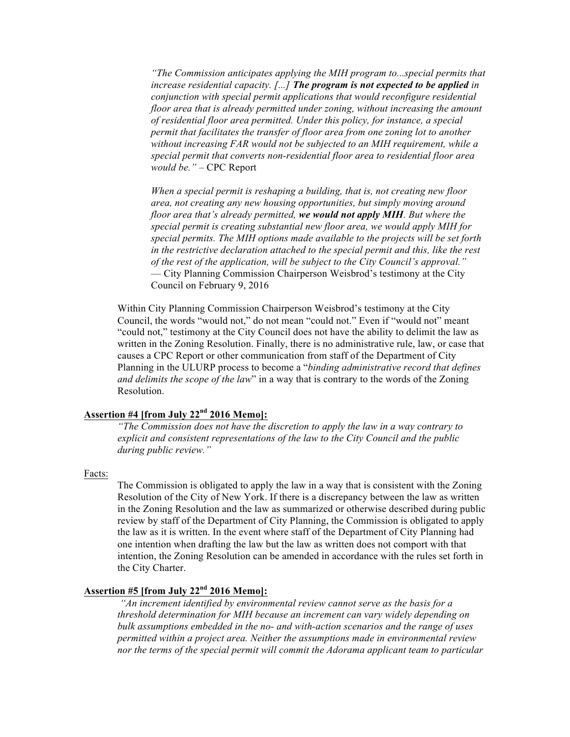*"The Commission anticipates applying the MIH program to...special permits that increase residential capacity. [...] The program is not expected to be applied in conjunction with special permit applications that would reconfigure residential floor area that is already permitted under zoning, without increasing the amount of residential floor area permitted. Under this policy, for instance, a special permit that facilitates the transfer of floor area from one zoning lot to another without increasing FAR would not be subjected to an MIH requirement, while a special permit that converts non-residential floor area to residential floor area would be."* – CPC Report

*When a special permit is reshaping a building, that is, not creating new floor area, not creating any new housing opportunities, but simply moving around floor area that's already permitted, we would not apply MIH. But where the special permit is creating substantial new floor area, we would apply MIH for special permits. The MIH options made available to the projects will be set forth in the restrictive declaration attached to the special permit and this, like the rest of the rest of the application, will be subject to the City Council's approval."*  — City Planning Commission Chairperson Weisbrod's testimony at the City Council on February 9, 2016

Within City Planning Commission Chairperson Weisbrod's testimony at the City Council, the words "would not," do not mean "could not." Even if "would not" meant "could not," testimony at the City Council does not have the ability to delimit the law as written in the Zoning Resolution. Finally, there is no administrative rule, law, or case that causes a CPC Report or other communication from staff of the Department of City Planning in the ULURP process to become a "*binding administrative record that defines and delimits the scope of the law*" in a way that is contrary to the words of the Zoning Resolution.

# **Assertion #4 [from July 22nd 2016 Memo]:**

*"The Commission does not have the discretion to apply the law in a way contrary to explicit and consistent representations of the law to the City Council and the public during public review."*

### Facts:

The Commission is obligated to apply the law in a way that is consistent with the Zoning Resolution of the City of New York. If there is a discrepancy between the law as written in the Zoning Resolution and the law as summarized or otherwise described during public review by staff of the Department of City Planning, the Commission is obligated to apply the law as it is written. In the event where staff of the Department of City Planning had one intention when drafting the law but the law as written does not comport with that intention, the Zoning Resolution can be amended in accordance with the rules set forth in the City Charter.

## **Assertion #5 [from July 22nd 2016 Memo]:**

*"An increment identified by environmental review cannot serve as the basis for a threshold determination for MIH because an increment can vary widely depending on bulk assumptions embedded in the no- and with-action scenarios and the range of uses permitted within a project area. Neither the assumptions made in environmental review nor the terms of the special permit will commit the Adorama applicant team to particular*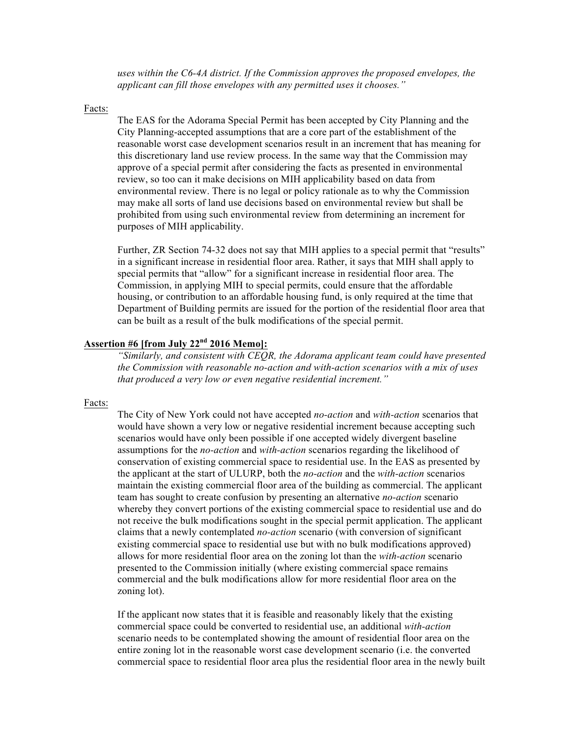*uses within the C6-4A district. If the Commission approves the proposed envelopes, the applicant can fill those envelopes with any permitted uses it chooses."*

#### Facts:

The EAS for the Adorama Special Permit has been accepted by City Planning and the City Planning-accepted assumptions that are a core part of the establishment of the reasonable worst case development scenarios result in an increment that has meaning for this discretionary land use review process. In the same way that the Commission may approve of a special permit after considering the facts as presented in environmental review, so too can it make decisions on MIH applicability based on data from environmental review. There is no legal or policy rationale as to why the Commission may make all sorts of land use decisions based on environmental review but shall be prohibited from using such environmental review from determining an increment for purposes of MIH applicability.

Further, ZR Section 74-32 does not say that MIH applies to a special permit that "results" in a significant increase in residential floor area. Rather, it says that MIH shall apply to special permits that "allow" for a significant increase in residential floor area. The Commission, in applying MIH to special permits, could ensure that the affordable housing, or contribution to an affordable housing fund, is only required at the time that Department of Building permits are issued for the portion of the residential floor area that can be built as a result of the bulk modifications of the special permit.

# **Assertion #6 [from July 22nd 2016 Memo]:**

*"Similarly, and consistent with CEQR, the Adorama applicant team could have presented the Commission with reasonable no-action and with-action scenarios with a mix of uses that produced a very low or even negative residential increment."*

#### Facts:

The City of New York could not have accepted *no-action* and *with-action* scenarios that would have shown a very low or negative residential increment because accepting such scenarios would have only been possible if one accepted widely divergent baseline assumptions for the *no-action* and *with-action* scenarios regarding the likelihood of conservation of existing commercial space to residential use. In the EAS as presented by the applicant at the start of ULURP, both the *no-action* and the *with-action* scenarios maintain the existing commercial floor area of the building as commercial. The applicant team has sought to create confusion by presenting an alternative *no-action* scenario whereby they convert portions of the existing commercial space to residential use and do not receive the bulk modifications sought in the special permit application. The applicant claims that a newly contemplated *no-action* scenario (with conversion of significant existing commercial space to residential use but with no bulk modifications approved) allows for more residential floor area on the zoning lot than the *with-action* scenario presented to the Commission initially (where existing commercial space remains commercial and the bulk modifications allow for more residential floor area on the zoning lot).

If the applicant now states that it is feasible and reasonably likely that the existing commercial space could be converted to residential use, an additional *with-action* scenario needs to be contemplated showing the amount of residential floor area on the entire zoning lot in the reasonable worst case development scenario (i.e. the converted commercial space to residential floor area plus the residential floor area in the newly built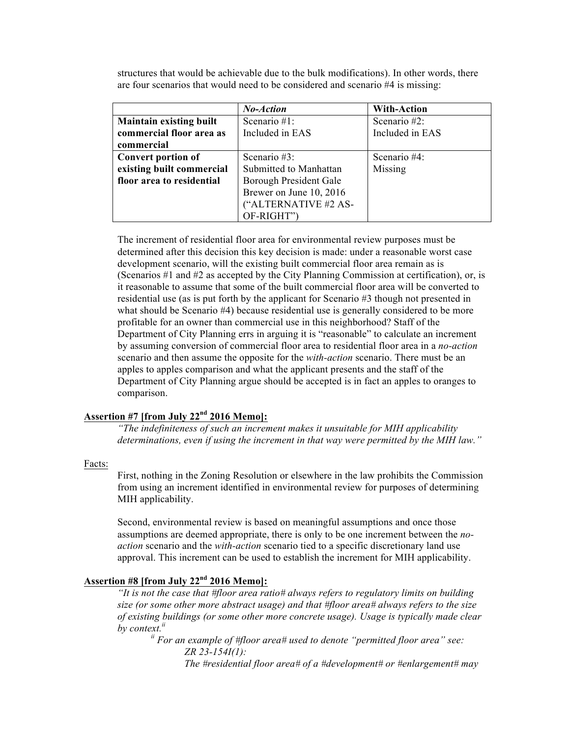structures that would be achievable due to the bulk modifications). In other words, there are four scenarios that would need to be considered and scenario #4 is missing:

|                                | No-Action               | <b>With-Action</b> |
|--------------------------------|-------------------------|--------------------|
| <b>Maintain existing built</b> | Scenario $#1$ :         | Scenario $#2$ :    |
| commercial floor area as       | Included in EAS         | Included in EAS    |
| commercial                     |                         |                    |
| <b>Convert portion of</b>      | Scenario #3:            | Scenario #4:       |
| existing built commercial      | Submitted to Manhattan  | Missing            |
| floor area to residential      | Borough President Gale  |                    |
|                                | Brewer on June 10, 2016 |                    |
|                                | ("ALTERNATIVE #2 AS-    |                    |
|                                | OF-RIGHT")              |                    |

The increment of residential floor area for environmental review purposes must be determined after this decision this key decision is made: under a reasonable worst case development scenario, will the existing built commercial floor area remain as is (Scenarios #1 and #2 as accepted by the City Planning Commission at certification), or, is it reasonable to assume that some of the built commercial floor area will be converted to residential use (as is put forth by the applicant for Scenario #3 though not presented in what should be Scenario #4) because residential use is generally considered to be more profitable for an owner than commercial use in this neighborhood? Staff of the Department of City Planning errs in arguing it is "reasonable" to calculate an increment by assuming conversion of commercial floor area to residential floor area in a *no-action* scenario and then assume the opposite for the *with-action* scenario. There must be an apples to apples comparison and what the applicant presents and the staff of the Department of City Planning argue should be accepted is in fact an apples to oranges to comparison.

# **Assertion #7 [from July 22nd 2016 Memo]:**

*"The indefiniteness of such an increment makes it unsuitable for MIH applicability determinations, even if using the increment in that way were permitted by the MIH law."*

### Facts:

First, nothing in the Zoning Resolution or elsewhere in the law prohibits the Commission from using an increment identified in environmental review for purposes of determining MIH applicability.

Second, environmental review is based on meaningful assumptions and once those assumptions are deemed appropriate, there is only to be one increment between the *noaction* scenario and the *with-action* scenario tied to a specific discretionary land use approval. This increment can be used to establish the increment for MIH applicability.

# **Assertion #8 [from July 22nd 2016 Memo]:**

*"It is not the case that #floor area ratio# always refers to regulatory limits on building size (or some other more abstract usage) and that #floor area# always refers to the size of existing buildings (or some other more concrete usage). Usage is typically made clear by context.ii*

*ii For an example of #floor area# used to denote "permitted floor area" see: ZR 23-154I(1):* 

*The #residential floor area# of a #development# or #enlargement# may*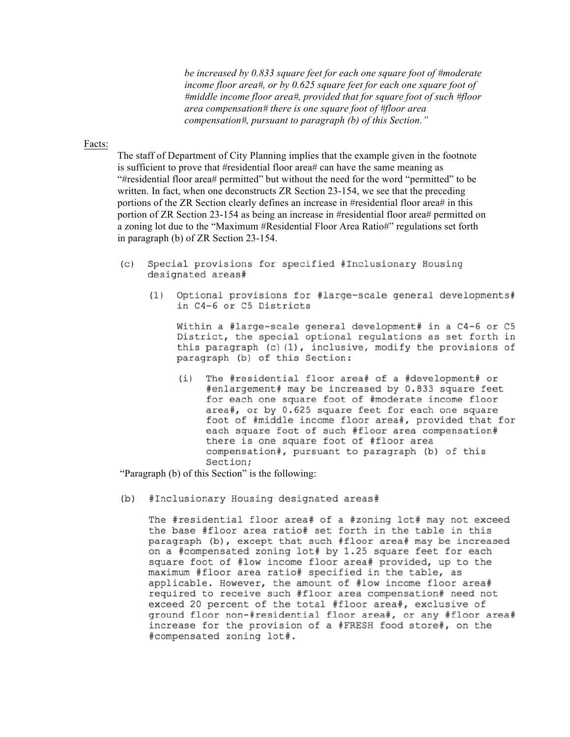*be increased by 0.833 square feet for each one square foot of #moderate income floor area#, or by 0.625 square feet for each one square foot of #middle income floor area#, provided that for square foot of such #floor area compensation# there is one square foot of #floor area compensation#, pursuant to paragraph (b) of this Section."*

### Facts:

The staff of Department of City Planning implies that the example given in the footnote is sufficient to prove that #residential floor area# can have the same meaning as "#residential floor area# permitted" but without the need for the word "permitted" to be written. In fact, when one deconstructs ZR Section 23-154, we see that the preceding portions of the ZR Section clearly defines an increase in #residential floor area# in this portion of ZR Section 23-154 as being an increase in #residential floor area# permitted on a zoning lot due to the "Maximum #Residential Floor Area Ratio#" regulations set forth in paragraph (b) of ZR Section 23-154.

- Special provisions for specified #Inclusionary Housing  $(c)$ designated areas#
	- Optional provisions for #large-scale general developments#  $(1)$ in C4-6 or C5 Districts

Within a #large-scale general development# in a C4-6 or C5 District, the special optional regulations as set forth in this paragraph (c)(1), inclusive, modify the provisions of paragraph (b) of this Section:

The #residential floor area# of a #development# or  $(i)$ #enlargement# may be increased by 0.833 square feet for each one square foot of #moderate income floor area#, or by 0.625 square feet for each one square foot of #middle income floor area#, provided that for each square foot of such #floor area compensation# there is one square foot of #floor area compensation#, pursuant to paragraph (b) of this Section;

"Paragraph (b) of this Section" is the following:

#Inclusionary Housing designated areas#  $(b)$ 

> The #residential floor area# of a #zoning lot# may not exceed the base #floor area ratio# set forth in the table in this paragraph (b), except that such #floor area# may be increased on a #compensated zoning lot# by 1.25 square feet for each square foot of #low income floor area# provided, up to the maximum #floor area ratio# specified in the table, as applicable. However, the amount of #low income floor area# required to receive such #floor area compensation# need not exceed 20 percent of the total #floor area#, exclusive of ground floor non-#residential floor area#, or any #floor area# increase for the provision of a #FRESH food store#, on the #compensated zoning lot#.